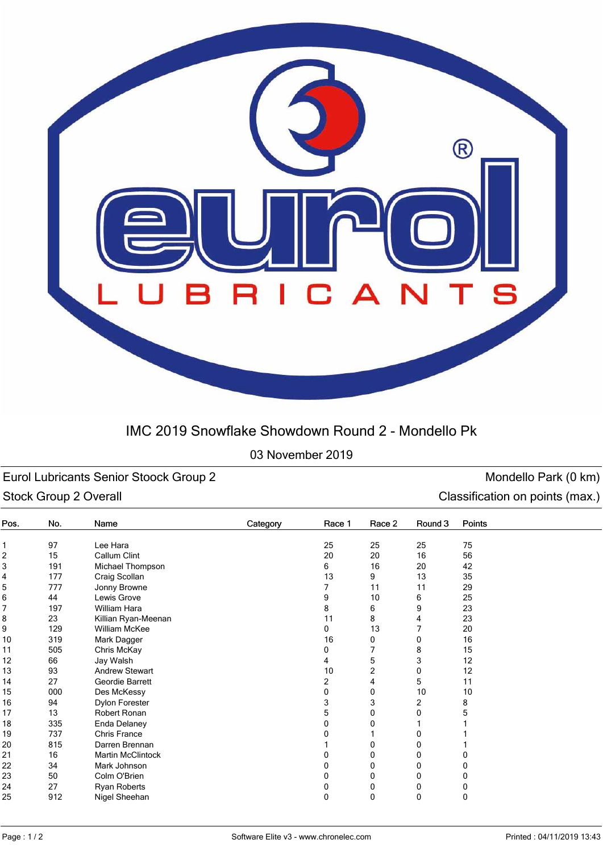

## IMC 2019 Snowflake Showdown Round 2 - Mondello Pk

## 03 November 2019

Eurol Lubricants Senior Stoock Group 2 and Senior Stoock Group 2 monoton control of the Mondello Park (0 km) Stock Group 2 Overall **Classification on points (max.)** Classification on points (max.)

| Pos. | No. | Name                     | Category | Race 1         | Race 2         | Round 3 | Points   |
|------|-----|--------------------------|----------|----------------|----------------|---------|----------|
| 1    | 97  | Lee Hara                 |          | 25             | 25             | 25      | 75       |
| 2    | 15  | Callum Clint             |          | 20             | 20             | 16      | 56       |
| 3    | 191 | Michael Thompson         |          | 6              | 16             | 20      | 42       |
| 4    | 177 | Craig Scollan            |          | 13             | 9              | 13      | 35       |
| 5    | 777 | Jonny Browne             |          |                |                | 11      | 29       |
| 6    | 44  | Lewis Grove              |          |                |                | 6       | 25       |
| 7    | 197 | William Hara             |          |                |                | 9       | 23       |
| 8    | 23  | Killian Ryan-Meenan      |          | 8<br>11        | 6<br>8         | 4       | 23       |
| 9    | 129 | William McKee            |          | 0              | 13             |         | 20       |
| 10   | 319 | Mark Dagger              |          | 16             | 0              | 0       | 16       |
| 11   | 505 | Chris McKay              |          | 0              | $\overline{7}$ | 8       | 15       |
| 12   | 66  | Jay Walsh                |          |                | 5              | 3       | 12       |
| 13   | 93  | <b>Andrew Stewart</b>    |          | 10             | $\overline{2}$ | 0       | 12       |
| 14   | 27  | Geordie Barrett          |          | $\overline{c}$ | 4              | 5       | 11       |
| 15   | 000 | Des McKessy              |          | 0              | 0              | 10      | 10       |
| 16   | 94  | Dylon Forester           |          | 3              | 3              | 2       | 8        |
| 17   | 13  | Robert Ronan             |          | 5              | 0              | 0       |          |
| 18   | 335 | Enda Delaney             |          | 0              |                |         |          |
| 19   | 737 | <b>Chris France</b>      |          |                |                | 0       |          |
| 20   | 815 | Darren Brennan           |          |                | 0              | 0       |          |
| 21   | 16  | <b>Martin McClintock</b> |          |                | 0              | 0       |          |
| 22   | 34  | Mark Johnson             |          |                | 0              | 0       |          |
| 23   | 50  | Colm O'Brien             |          | 0              | 0              | 0       |          |
| 24   | 27  | Ryan Roberts             |          | 0              | 0              | 0       | 0        |
| 25   | 912 | Nigel Sheehan            |          | $\Omega$       | 0              | 0       | $\Omega$ |